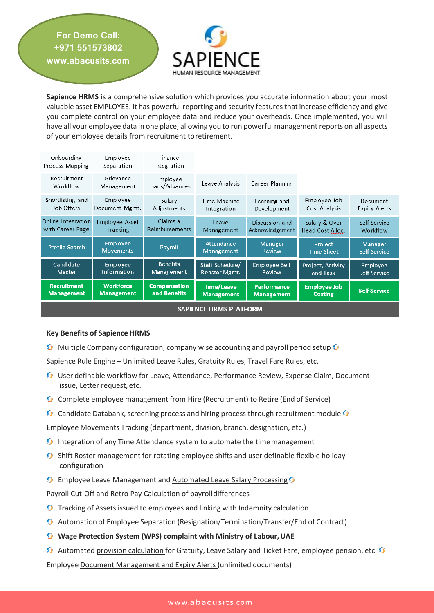

**Sapience HRMS** is a comprehensive solution which provides you accurate information about your most valuable asset EMPLOYEE. It has powerful reporting and security features that increase efficiency and give you complete control on your employee data and reduce your overheads. Once implemented, you will have all your employee data in one place, allowing you to run powerful management reports on all aspects of your employee details from recruitment toretirement.

| Onboarding<br>Process Mapping | Employee<br>Separation              | Finance<br>Integration     |                                        |                                 |                              |                                       |
|-------------------------------|-------------------------------------|----------------------------|----------------------------------------|---------------------------------|------------------------------|---------------------------------------|
| Recruitment<br>Workflow       | Grievance<br>Management             | Employee<br>Loans/Advances | Leave Analysis                         | Career Planning                 |                              |                                       |
| Shortlisting and              | Employee                            | Salary                     | Time Machine                           | Learning and                    | Employee Job                 | Document                              |
| Job Offers                    | Document Mgmt.                      | Adjustments                | Integration                            | Development                     | Cost Analysis                | <b>Expiry Alerts</b>                  |
| Online Integration            | <b>Employee Asset</b>               | Claims a                   | Leave                                  | Discussion and                  | Salary & Over                | Self Service                          |
| with Career Page              | Tracking                            | Reimbursements             | Management                             | Acknowledgement                 | Head Cost Alloc.             | Workflow                              |
| <b>Profile Search</b>         | <b>Employee</b><br><b>Movements</b> | Payroll                    | <b>Attendance</b><br><b>Management</b> | <b>Manager</b><br><b>Review</b> | Project<br><b>Time Sheet</b> | <b>Manager</b><br><b>Self Service</b> |
| Candidate                     | <b>Employee</b>                     | <b>Benefits</b>            | Staff Schedule/                        | <b>Employee Self</b>            | Project, Activity            | Employee                              |
| <b>Master</b>                 | <b>Information</b>                  | <b>Management</b>          | <b>Roaster Mgmt.</b>                   | <b>Review</b>                   | and Task                     | Self Service                          |
| <b>Recruitment</b>            | <b>Workforce</b>                    | <b>Compensation</b>        | <b>Time/Leave</b>                      | <b>Performance</b>              | <b>Employee Job</b>          | <b>Self Service</b>                   |
| <b>Management</b>             | <b>Management</b>                   | and Benefits               | <b>Management</b>                      | <b>Management</b>               | <b>Costing</b>               |                                       |
| <b>SAPIENCE HRMS PLATFORM</b> |                                     |                            |                                        |                                 |                              |                                       |

## **Key Benefits of Sapience HRMS**

**For Demo Call: +971 551573802 www.abacusits.com**

 $\Theta$  Multiple Company configuration, company wise accounting and payroll period setup  $\Theta$ 

Sapience Rule Engine – Unlimited Leave Rules, Gratuity Rules, Travel Fare Rules, etc.

- User definable workflow for Leave, Attendance, Performance Review, Expense Claim, Document issue, Letter request, etc.
- **G** Complete employee management from Hire (Recruitment) to Retire (End of Service)
- **G** Candidate Databank, screening process and hiring process through recruitment module  $\Omega$

Employee Movements Tracking (department, division, branch, designation, etc.)

- **O** Integration of any Time Attendance system to automate the time management
- **G** Shift Roster management for rotating employee shifts and user definable flexible holiday configuration
- **G** Employee Leave Management and Automated Leave Salary Processing **G**

Payroll Cut-Off and Retro Pay Calculation of payrolldifferences

- **O** Tracking of Assets issued to employees and linking with Indemnity calculation
- Automation of Employee Separation (Resignation/Termination/Transfer/End of Contract)
- *G* Wage Protection System (WPS) complaint with Ministry of Labour, UAE
- $\bullet$  Automated provision calculation for Gratuity, Leave Salary and Ticket Fare, employee pension, etc.  $\bullet$

Employee Document Management and Expiry Alerts (unlimited documents)